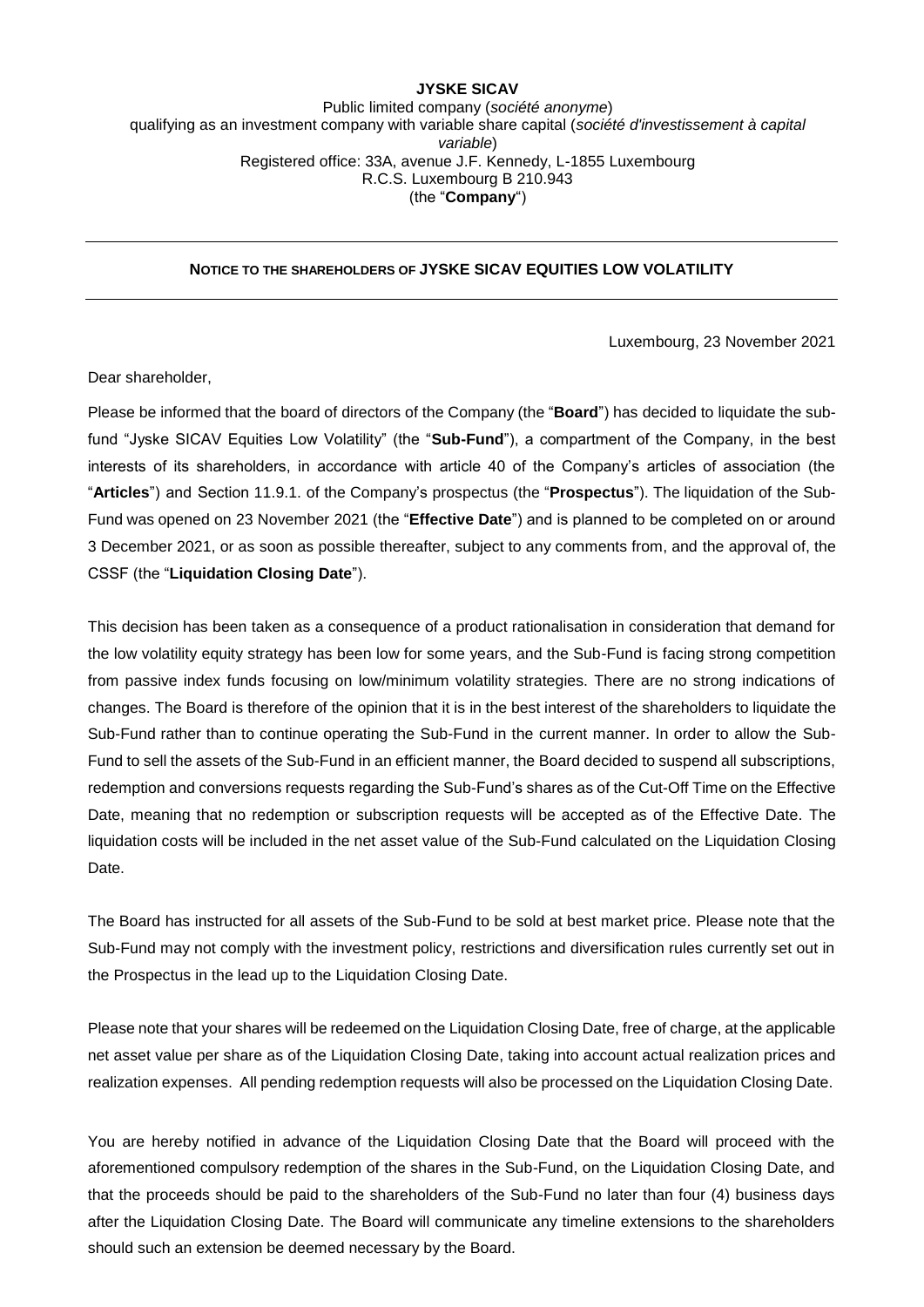## **JYSKE SICAV** Public limited company (*société anonyme*) qualifying as an investment company with variable share capital (*société d'investissement à capital variable*) Registered office: 33A, avenue J.F. Kennedy, L-1855 Luxembourg R.C.S. Luxembourg B 210.943 (the "**Company**")

## **NOTICE TO THE SHAREHOLDERS OF JYSKE SICAV EQUITIES LOW VOLATILITY**

Luxembourg, 23 November 2021

Dear shareholder,

Please be informed that the board of directors of the Company (the "**Board**") has decided to liquidate the subfund "Jyske SICAV Equities Low Volatility" (the "**Sub-Fund**"), a compartment of the Company, in the best interests of its shareholders, in accordance with article 40 of the Company's articles of association (the "**Articles**") and Section 11.9.1. of the Company's prospectus (the "**Prospectus**"). The liquidation of the Sub-Fund was opened on 23 November 2021 (the "**Effective Date**") and is planned to be completed on or around 3 December 2021, or as soon as possible thereafter, subject to any comments from, and the approval of, the CSSF (the "**Liquidation Closing Date**").

This decision has been taken as a consequence of a product rationalisation in consideration that demand for the low volatility equity strategy has been low for some years, and the Sub-Fund is facing strong competition from passive index funds focusing on low/minimum volatility strategies. There are no strong indications of changes. The Board is therefore of the opinion that it is in the best interest of the shareholders to liquidate the Sub-Fund rather than to continue operating the Sub-Fund in the current manner. In order to allow the Sub-Fund to sell the assets of the Sub-Fund in an efficient manner, the Board decided to suspend all subscriptions, redemption and conversions requests regarding the Sub-Fund's shares as of the Cut-Off Time on the Effective Date, meaning that no redemption or subscription requests will be accepted as of the Effective Date. The liquidation costs will be included in the net asset value of the Sub-Fund calculated on the Liquidation Closing Date.

The Board has instructed for all assets of the Sub-Fund to be sold at best market price. Please note that the Sub-Fund may not comply with the investment policy, restrictions and diversification rules currently set out in the Prospectus in the lead up to the Liquidation Closing Date.

Please note that your shares will be redeemed on the Liquidation Closing Date, free of charge, at the applicable net asset value per share as of the Liquidation Closing Date, taking into account actual realization prices and realization expenses. All pending redemption requests will also be processed on the Liquidation Closing Date.

You are hereby notified in advance of the Liquidation Closing Date that the Board will proceed with the aforementioned compulsory redemption of the shares in the Sub-Fund, on the Liquidation Closing Date, and that the proceeds should be paid to the shareholders of the Sub-Fund no later than four (4) business days after the Liquidation Closing Date. The Board will communicate any timeline extensions to the shareholders should such an extension be deemed necessary by the Board.